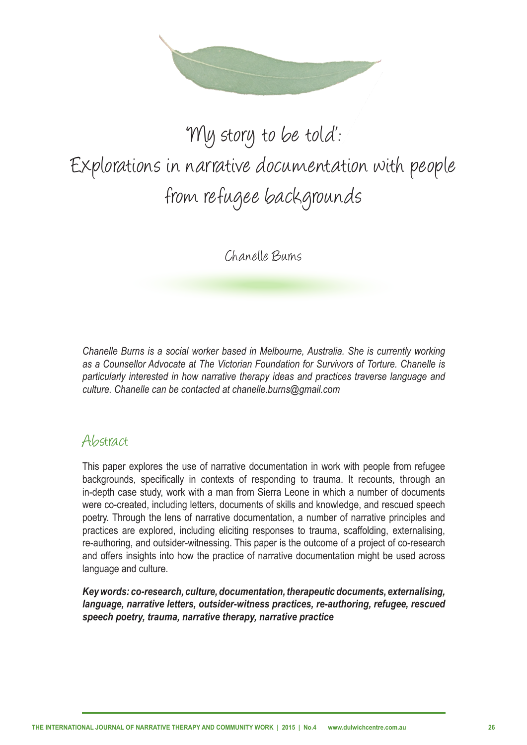

# 'My story to be told': Explorations in narrative documentation with people from refugee backgrounds

Chanelle Burns

*Chanelle Burns is a social worker based in Melbourne, Australia. She is currently working as a Counsellor Advocate at The Victorian Foundation for Survivors of Torture. Chanelle is particularly interested in how narrative therapy ideas and practices traverse language and culture. Chanelle can be contacted at chanelle.burns@gmail.com*

#### Abstract

This paper explores the use of narrative documentation in work with people from refugee backgrounds, specifically in contexts of responding to trauma. It recounts, through an in-depth case study, work with a man from Sierra Leone in which a number of documents were co-created, including letters, documents of skills and knowledge, and rescued speech poetry. Through the lens of narrative documentation, a number of narrative principles and practices are explored, including eliciting responses to trauma, scaffolding, externalising, re-authoring, and outsider-witnessing. This paper is the outcome of a project of co-research and offers insights into how the practice of narrative documentation might be used across language and culture.

*Key words: co-research, culture, documentation, therapeutic documents, externalising, language, narrative letters, outsider-witness practices, re-authoring, refugee, rescued speech poetry, trauma, narrative therapy, narrative practice*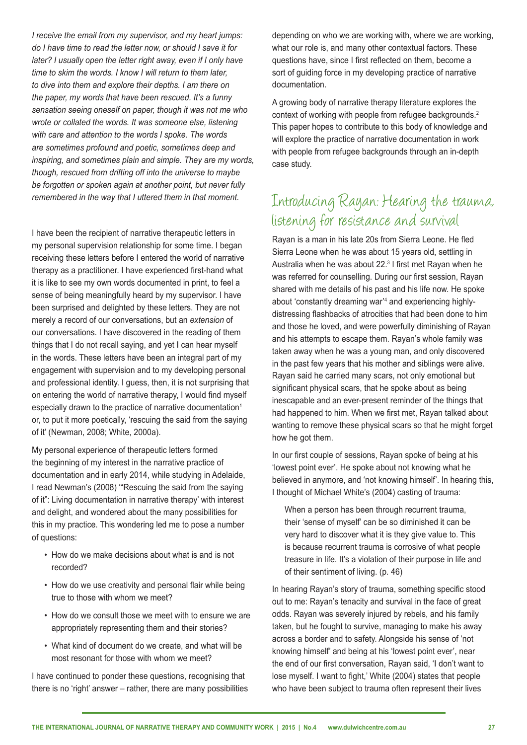*I receive the email from my supervisor, and my heart jumps: do I have time to read the letter now, or should I save it for later? I usually open the letter right away, even if I only have time to skim the words. I know I will return to them later, to dive into them and explore their depths. I am there on the paper, my words that have been rescued. It's a funny sensation seeing oneself on paper, though it was not me who wrote or collated the words. It was someone else, listening with care and attention to the words I spoke. The words are sometimes profound and poetic, sometimes deep and inspiring, and sometimes plain and simple. They are my words, though, rescued from drifting off into the universe to maybe be forgotten or spoken again at another point, but never fully remembered in the way that I uttered them in that moment.* 

I have been the recipient of narrative therapeutic letters in my personal supervision relationship for some time. I began receiving these letters before I entered the world of narrative therapy as a practitioner. I have experienced first-hand what it is like to see my own words documented in print, to feel a sense of being meaningfully heard by my supervisor. I have been surprised and delighted by these letters. They are not merely a record of our conversations, but an *extension* of our conversations. I have discovered in the reading of them things that I do not recall saying, and yet I can hear myself in the words. These letters have been an integral part of my engagement with supervision and to my developing personal and professional identity. I guess, then, it is not surprising that on entering the world of narrative therapy, I would find myself especially drawn to the practice of narrative documentation<sup>1</sup> or, to put it more poetically, 'rescuing the said from the saying of it' (Newman, 2008; White, 2000a).

My personal experience of therapeutic letters formed the beginning of my interest in the narrative practice of documentation and in early 2014, while studying in Adelaide, I read Newman's (2008) '"Rescuing the said from the saying of it": Living documentation in narrative therapy' with interest and delight, and wondered about the many possibilities for this in my practice. This wondering led me to pose a number of questions:

- How do we make decisions about what is and is not recorded?
- How do we use creativity and personal flair while being true to those with whom we meet?
- How do we consult those we meet with to ensure we are appropriately representing them and their stories?
- What kind of document do we create, and what will be most resonant for those with whom we meet?

I have continued to ponder these questions, recognising that there is no 'right' answer – rather, there are many possibilities depending on who we are working with, where we are working, what our role is, and many other contextual factors. These questions have, since I first reflected on them, become a sort of guiding force in my developing practice of narrative documentation.

A growing body of narrative therapy literature explores the context of working with people from refugee backgrounds.<sup>2</sup> This paper hopes to contribute to this body of knowledge and will explore the practice of narrative documentation in work with people from refugee backgrounds through an in-depth case study.

# Introducing Rayan: Hearing the trauma, listening for resistance and survival

Rayan is a man in his late 20s from Sierra Leone. He fled Sierra Leone when he was about 15 years old, settling in Australia when he was about 22.<sup>3</sup> I first met Rayan when he was referred for counselling. During our first session, Rayan shared with me details of his past and his life now. He spoke about 'constantly dreaming war'4 and experiencing highlydistressing flashbacks of atrocities that had been done to him and those he loved, and were powerfully diminishing of Rayan and his attempts to escape them. Rayan's whole family was taken away when he was a young man, and only discovered in the past few years that his mother and siblings were alive. Rayan said he carried many scars, not only emotional but significant physical scars, that he spoke about as being inescapable and an ever-present reminder of the things that had happened to him. When we first met, Rayan talked about wanting to remove these physical scars so that he might forget how he got them.

In our first couple of sessions, Rayan spoke of being at his 'lowest point ever'. He spoke about not knowing what he believed in anymore, and 'not knowing himself'. In hearing this, I thought of Michael White's (2004) casting of trauma:

When a person has been through recurrent trauma, their 'sense of myself' can be so diminished it can be very hard to discover what it is they give value to. This is because recurrent trauma is corrosive of what people treasure in life. It's a violation of their purpose in life and of their sentiment of living. (p. 46)

In hearing Rayan's story of trauma, something specific stood out to me: Rayan's tenacity and survival in the face of great odds. Rayan was severely injured by rebels, and his family taken, but he fought to survive, managing to make his away across a border and to safety. Alongside his sense of 'not knowing himself' and being at his 'lowest point ever', near the end of our first conversation, Rayan said, 'I don't want to lose myself. I want to fight,' White (2004) states that people who have been subject to trauma often represent their lives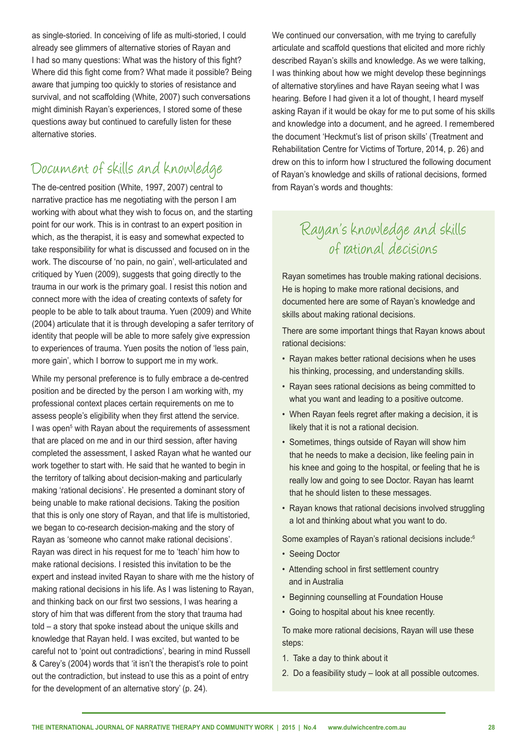as single-storied. In conceiving of life as multi-storied, I could already see glimmers of alternative stories of Rayan and I had so many questions: What was the history of this fight? Where did this fight come from? What made it possible? Being aware that jumping too quickly to stories of resistance and survival, and not scaffolding (White, 2007) such conversations might diminish Rayan's experiences, I stored some of these questions away but continued to carefully listen for these alternative stories.

# Document of skills and knowledge

The de-centred position (White, 1997, 2007) central to narrative practice has me negotiating with the person I am working with about what they wish to focus on, and the starting point for our work. This is in contrast to an expert position in which, as the therapist, it is easy and somewhat expected to take responsibility for what is discussed and focused on in the work. The discourse of 'no pain, no gain', well-articulated and critiqued by Yuen (2009), suggests that going directly to the trauma in our work is the primary goal. I resist this notion and connect more with the idea of creating contexts of safety for people to be able to talk about trauma. Yuen (2009) and White (2004) articulate that it is through developing a safer territory of identity that people will be able to more safely give expression to experiences of trauma. Yuen posits the notion of 'less pain, more gain', which I borrow to support me in my work.

While my personal preference is to fully embrace a de-centred position and be directed by the person I am working with, my professional context places certain requirements on me to assess people's eligibility when they first attend the service. I was open<sup>5</sup> with Rayan about the requirements of assessment that are placed on me and in our third session, after having completed the assessment, I asked Rayan what he wanted our work together to start with. He said that he wanted to begin in the territory of talking about decision-making and particularly making 'rational decisions'. He presented a dominant story of being unable to make rational decisions. Taking the position that this is only one story of Rayan, and that life is multistoried, we began to co-research decision-making and the story of Rayan as 'someone who cannot make rational decisions'. Rayan was direct in his request for me to 'teach' him how to make rational decisions. I resisted this invitation to be the expert and instead invited Rayan to share with me the history of making rational decisions in his life. As I was listening to Rayan, and thinking back on our first two sessions, I was hearing a story of him that was different from the story that trauma had told – a story that spoke instead about the unique skills and knowledge that Rayan held. I was excited, but wanted to be careful not to 'point out contradictions', bearing in mind Russell & Carey's (2004) words that 'it isn't the therapist's role to point out the contradiction, but instead to use this as a point of entry for the development of an alternative story' (p. 24).

We continued our conversation, with me trying to carefully articulate and scaffold questions that elicited and more richly described Rayan's skills and knowledge. As we were talking, I was thinking about how we might develop these beginnings of alternative storylines and have Rayan seeing what I was hearing. Before I had given it a lot of thought, I heard myself asking Rayan if it would be okay for me to put some of his skills and knowledge into a document, and he agreed. I remembered the document 'Heckmut's list of prison skills' (Treatment and Rehabilitation Centre for Victims of Torture, 2014, p. 26) and drew on this to inform how I structured the following document of Rayan's knowledge and skills of rational decisions, formed from Rayan's words and thoughts:

# Rayan's knowledge and skills of rational decisions

Rayan sometimes has trouble making rational decisions. He is hoping to make more rational decisions, and documented here are some of Rayan's knowledge and skills about making rational decisions.

There are some important things that Rayan knows about rational decisions:

- Rayan makes better rational decisions when he uses his thinking, processing, and understanding skills.
- Rayan sees rational decisions as being committed to what you want and leading to a positive outcome.
- When Rayan feels regret after making a decision, it is likely that it is not a rational decision.
- Sometimes, things outside of Rayan will show him that he needs to make a decision, like feeling pain in his knee and going to the hospital, or feeling that he is really low and going to see Doctor. Rayan has learnt that he should listen to these messages.
- Rayan knows that rational decisions involved struggling a lot and thinking about what you want to do.

Some examples of Rayan's rational decisions include:6

- Seeing Doctor
- Attending school in first settlement country and in Australia
- Beginning counselling at Foundation House
- Going to hospital about his knee recently.

To make more rational decisions, Rayan will use these steps:

- 1. Take a day to think about it
- 2. Do a feasibility study look at all possible outcomes.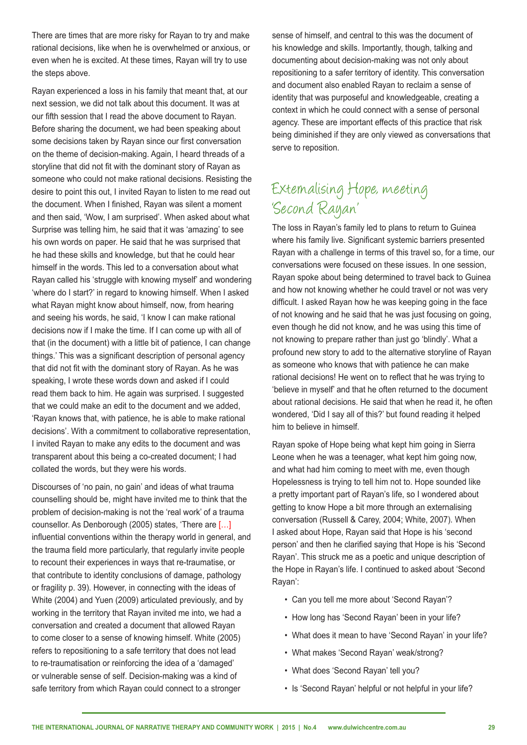There are times that are more risky for Rayan to try and make rational decisions, like when he is overwhelmed or anxious, or even when he is excited. At these times, Rayan will try to use the steps above.

Rayan experienced a loss in his family that meant that, at our next session, we did not talk about this document. It was at our fifth session that I read the above document to Rayan. Before sharing the document, we had been speaking about some decisions taken by Rayan since our first conversation on the theme of decision-making. Again, I heard threads of a storyline that did not fit with the dominant story of Rayan as someone who could not make rational decisions. Resisting the desire to point this out, I invited Rayan to listen to me read out the document. When I finished, Rayan was silent a moment and then said, 'Wow, I am surprised'. When asked about what Surprise was telling him, he said that it was 'amazing' to see his own words on paper. He said that he was surprised that he had these skills and knowledge, but that he could hear himself in the words. This led to a conversation about what Rayan called his 'struggle with knowing myself' and wondering 'where do I start?' in regard to knowing himself. When I asked what Rayan might know about himself, now, from hearing and seeing his words, he said, 'I know I can make rational decisions now if I make the time. If I can come up with all of that (in the document) with a little bit of patience, I can change things.' This was a significant description of personal agency that did not fit with the dominant story of Rayan. As he was speaking, I wrote these words down and asked if I could read them back to him. He again was surprised. I suggested that we could make an edit to the document and we added, 'Rayan knows that, with patience, he is able to make rational decisions'. With a commitment to collaborative representation, I invited Rayan to make any edits to the document and was transparent about this being a co-created document; I had collated the words, but they were his words.

Discourses of 'no pain, no gain' and ideas of what trauma counselling should be, might have invited me to think that the problem of decision-making is not the 'real work' of a trauma counsellor. As Denborough (2005) states, 'There are […] influential conventions within the therapy world in general, and the trauma field more particularly, that regularly invite people to recount their experiences in ways that re-traumatise, or that contribute to identity conclusions of damage, pathology or fragility p. 39). However, in connecting with the ideas of White (2004) and Yuen (2009) articulated previously, and by working in the territory that Rayan invited me into, we had a conversation and created a document that allowed Rayan to come closer to a sense of knowing himself. White (2005) refers to repositioning to a safe territory that does not lead to re-traumatisation or reinforcing the idea of a 'damaged' or vulnerable sense of self. Decision-making was a kind of safe territory from which Rayan could connect to a stronger

sense of himself, and central to this was the document of his knowledge and skills. Importantly, though, talking and documenting about decision-making was not only about repositioning to a safer territory of identity. This conversation and document also enabled Rayan to reclaim a sense of identity that was purposeful and knowledgeable, creating a context in which he could connect with a sense of personal agency. These are important effects of this practice that risk being diminished if they are only viewed as conversations that serve to reposition.

# Externalising Hope, meeting 'Second Rayan'

The loss in Rayan's family led to plans to return to Guinea where his family live. Significant systemic barriers presented Rayan with a challenge in terms of this travel so, for a time, our conversations were focused on these issues. In one session, Rayan spoke about being determined to travel back to Guinea and how not knowing whether he could travel or not was very difficult. I asked Rayan how he was keeping going in the face of not knowing and he said that he was just focusing on going, even though he did not know, and he was using this time of not knowing to prepare rather than just go 'blindly'. What a profound new story to add to the alternative storyline of Rayan as someone who knows that with patience he can make rational decisions! He went on to reflect that he was trying to 'believe in myself' and that he often returned to the document about rational decisions. He said that when he read it, he often wondered, 'Did I say all of this?' but found reading it helped him to believe in himself.

Rayan spoke of Hope being what kept him going in Sierra Leone when he was a teenager, what kept him going now, and what had him coming to meet with me, even though Hopelessness is trying to tell him not to. Hope sounded like a pretty important part of Rayan's life, so I wondered about getting to know Hope a bit more through an externalising conversation (Russell & Carey, 2004; White, 2007). When I asked about Hope, Rayan said that Hope is his 'second person' and then he clarified saying that Hope is his 'Second Rayan'. This struck me as a poetic and unique description of the Hope in Rayan's life. I continued to asked about 'Second Rayan':

- Can you tell me more about 'Second Rayan'?
- How long has 'Second Rayan' been in your life?
- What does it mean to have 'Second Rayan' in your life?
- What makes 'Second Rayan' weak/strong?
- What does 'Second Rayan' tell you?
- Is 'Second Rayan' helpful or not helpful in your life?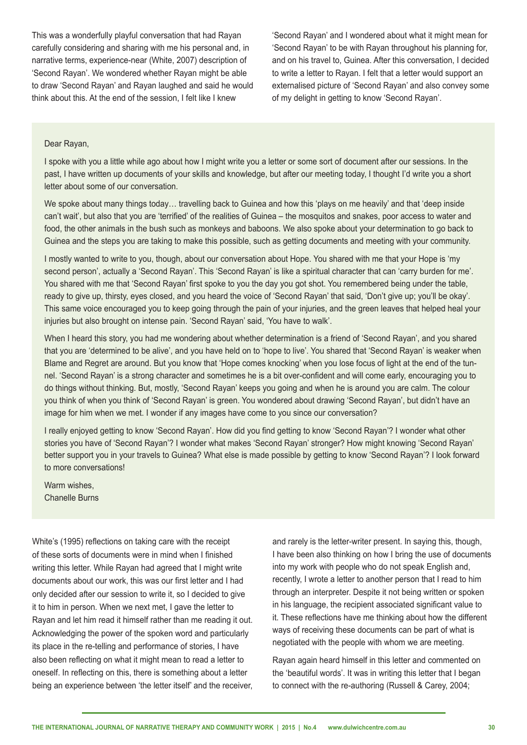This was a wonderfully playful conversation that had Rayan carefully considering and sharing with me his personal and, in narrative terms, experience-near (White, 2007) description of 'Second Rayan'. We wondered whether Rayan might be able to draw 'Second Rayan' and Rayan laughed and said he would think about this. At the end of the session, I felt like I knew

'Second Rayan' and I wondered about what it might mean for 'Second Rayan' to be with Rayan throughout his planning for, and on his travel to, Guinea. After this conversation, I decided to write a letter to Rayan. I felt that a letter would support an externalised picture of 'Second Rayan' and also convey some of my delight in getting to know 'Second Rayan'.

#### Dear Rayan,

I spoke with you a little while ago about how I might write you a letter or some sort of document after our sessions. In the past, I have written up documents of your skills and knowledge, but after our meeting today, I thought I'd write you a short letter about some of our conversation.

We spoke about many things today… travelling back to Guinea and how this 'plays on me heavily' and that 'deep inside can't wait', but also that you are 'terrified' of the realities of Guinea – the mosquitos and snakes, poor access to water and food, the other animals in the bush such as monkeys and baboons. We also spoke about your determination to go back to Guinea and the steps you are taking to make this possible, such as getting documents and meeting with your community.

I mostly wanted to write to you, though, about our conversation about Hope. You shared with me that your Hope is 'my second person', actually a 'Second Rayan'. This 'Second Rayan' is like a spiritual character that can 'carry burden for me'. You shared with me that 'Second Rayan' first spoke to you the day you got shot. You remembered being under the table, ready to give up, thirsty, eyes closed, and you heard the voice of 'Second Rayan' that said, 'Don't give up; you'll be okay'. This same voice encouraged you to keep going through the pain of your injuries, and the green leaves that helped heal your injuries but also brought on intense pain. 'Second Rayan' said, 'You have to walk'.

When I heard this story, you had me wondering about whether determination is a friend of 'Second Rayan', and you shared that you are 'determined to be alive', and you have held on to 'hope to live'. You shared that 'Second Rayan' is weaker when Blame and Regret are around. But you know that 'Hope comes knocking' when you lose focus of light at the end of the tunnel. 'Second Rayan' is a strong character and sometimes he is a bit over-confident and will come early, encouraging you to do things without thinking. But, mostly, 'Second Rayan' keeps you going and when he is around you are calm. The colour you think of when you think of 'Second Rayan' is green. You wondered about drawing 'Second Rayan', but didn't have an image for him when we met. I wonder if any images have come to you since our conversation?

I really enjoyed getting to know 'Second Rayan'. How did you find getting to know 'Second Rayan'? I wonder what other stories you have of 'Second Rayan'? I wonder what makes 'Second Rayan' stronger? How might knowing 'Second Rayan' better support you in your travels to Guinea? What else is made possible by getting to know 'Second Rayan'? I look forward to more conversations!

Warm wishes Chanelle Burns

White's (1995) reflections on taking care with the receipt of these sorts of documents were in mind when I finished writing this letter. While Rayan had agreed that I might write documents about our work, this was our first letter and I had only decided after our session to write it, so I decided to give it to him in person. When we next met, I gave the letter to Rayan and let him read it himself rather than me reading it out. Acknowledging the power of the spoken word and particularly its place in the re-telling and performance of stories, I have also been reflecting on what it might mean to read a letter to oneself. In reflecting on this, there is something about a letter being an experience between 'the letter itself' and the receiver, and rarely is the letter-writer present. In saying this, though, I have been also thinking on how I bring the use of documents into my work with people who do not speak English and, recently, I wrote a letter to another person that I read to him through an interpreter. Despite it not being written or spoken in his language, the recipient associated significant value to it. These reflections have me thinking about how the different ways of receiving these documents can be part of what is negotiated with the people with whom we are meeting.

Rayan again heard himself in this letter and commented on the 'beautiful words'. It was in writing this letter that I began to connect with the re-authoring (Russell & Carey, 2004;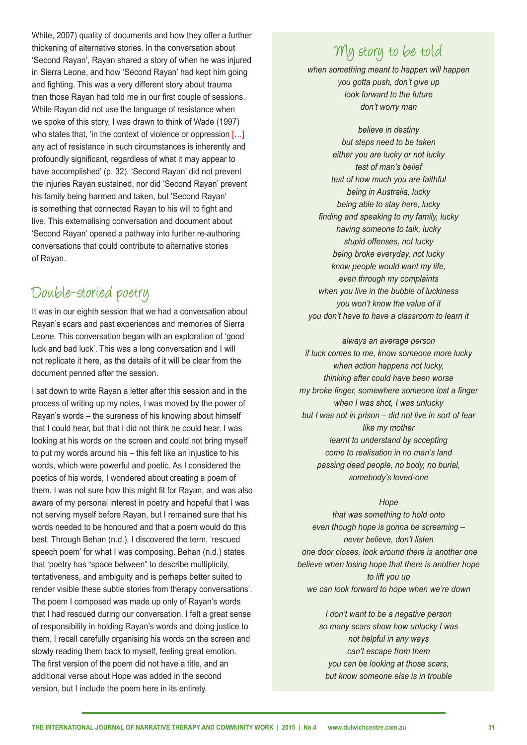White, 2007) quality of documents and how they offer a further thickening of alternative stories. In the conversation about 'Second Rayan', Rayan shared a story of when he was injured in Sierra Leone, and how 'Second Rayan' had kept him going and fighting. This was a very different story about trauma than those Rayan had told me in our first couple of sessions. While Rayan did not use the language of resistance when we spoke of this story, I was drawn to think of Wade (1997) who states that, 'in the context of violence or oppression [...] any act of resistance in such circumstances is inherently and profoundly significant, regardless of what it may appear to have accomplished' (p. 32). 'Second Rayan' did not prevent the injuries Rayan sustained, nor did 'Second Rayan' prevent his family being harmed and taken, but 'Second Rayan' is something that connected Rayan to his will to fight and live. This externalising conversation and document about 'Second Rayan' opened a pathway into further re-authoring conversations that could contribute to alternative stories of Rayan.

#### Double-storied poetry

It was in our eighth session that we had a conversation about Rayan's scars and past experiences and memories of Sierra Leone. This conversation began with an exploration of 'good luck and bad luck'. This was a long conversation and I will not replicate it here, as the details of it will be clear from the document penned after the session.

I sat down to write Rayan a letter after this session and in the process of writing up my notes, I was moved by the power of Rayan's words – the sureness of his knowing about himself that I could hear, but that I did not think he could hear. I was looking at his words on the screen and could not bring myself to put my words around his – this felt like an injustice to his words, which were powerful and poetic. As I considered the poetics of his words, I wondered about creating a poem of them. I was not sure how this might fit for Rayan, and was also aware of my personal interest in poetry and hopeful that I was not serving myself before Rayan, but I remained sure that his words needed to be honoured and that a poem would do this best. Through Behan (n.d.), I discovered the term, 'rescued speech poem' for what I was composing. Behan (n.d.) states that 'poetry has "space between" to describe multiplicity, tentativeness, and ambiguity and is perhaps better suited to render visible these subtle stories from therapy conversations'. The poem I composed was made up only of Rayan's words that I had rescued during our conversation. I felt a great sense of responsibility in holding Rayan's words and doing justice to them. I recall carefully organising his words on the screen and slowly reading them back to myself, feeling great emotion. The first version of the poem did not have a title, and an additional verse about Hope was added in the second version, but I include the poem here in its entirety.

#### My story to be told

*when something meant to happen will happen you gotta push, don't give up look forward to the future don't worry man*

*believe in destiny but steps need to be taken either you are lucky or not lucky test of man's belief test of how much you are faithful being in Australia, lucky being able to stay here, lucky finding and speaking to my family, lucky having someone to talk, lucky stupid offenses, not lucky being broke everyday, not lucky know people would want my life, even through my complaints when you live in the bubble of luckiness you won't know the value of it you don't have to have a classroom to learn it*

*always an average person if luck comes to me, know someone more lucky when action happens not lucky, thinking after could have been worse my broke finger, somewhere someone lost a finger when I was shot, I was unlucky but I was not in prison – did not live in sort of fear like my mother learnt to understand by accepting come to realisation in no man's land passing dead people, no body, no burial, somebody's loved-one*

*Hope*

*that was something to hold onto even though hope is gonna be screaming – never believe, don't listen one door closes, look around there is another one believe when losing hope that there is another hope to lift you up we can look forward to hope when we're down*

> *I don't want to be a negative person so many scars show how unlucky I was not helpful in any ways can't escape from them you can be looking at those scars, but know someone else is in trouble*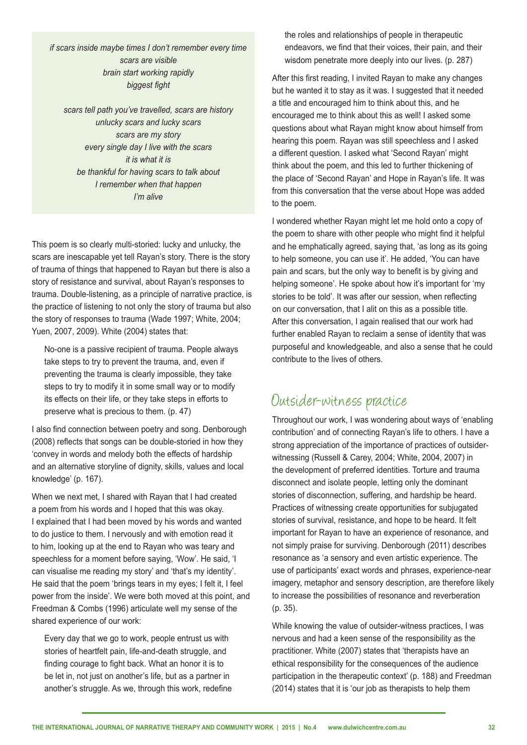*if scars inside maybe times I don't remember every time scars are visible brain start working rapidly biggest fight* 

*scars tell path you've travelled, scars are history unlucky scars and lucky scars scars are my story every single day I live with the scars it is what it is be thankful for having scars to talk about I remember when that happen I'm alive*

This poem is so clearly multi-storied: lucky and unlucky, the scars are inescapable yet tell Rayan's story. There is the story of trauma of things that happened to Rayan but there is also a story of resistance and survival, about Rayan's responses to trauma. Double-listening, as a principle of narrative practice, is the practice of listening to not only the story of trauma but also the story of responses to trauma (Wade 1997; White, 2004; Yuen, 2007, 2009). White (2004) states that:

No-one is a passive recipient of trauma. People always take steps to try to prevent the trauma, and, even if preventing the trauma is clearly impossible, they take steps to try to modify it in some small way or to modify its effects on their life, or they take steps in efforts to preserve what is precious to them. (p. 47)

I also find connection between poetry and song. Denborough (2008) reflects that songs can be double-storied in how they 'convey in words and melody both the effects of hardship and an alternative storyline of dignity, skills, values and local knowledge' (p. 167).

When we next met, I shared with Rayan that I had created a poem from his words and I hoped that this was okay. I explained that I had been moved by his words and wanted to do justice to them. I nervously and with emotion read it to him, looking up at the end to Rayan who was teary and speechless for a moment before saying, 'Wow'. He said, 'I can visualise me reading my story' and 'that's my identity'. He said that the poem 'brings tears in my eyes; I felt it, I feel power from the inside'. We were both moved at this point, and Freedman & Combs (1996) articulate well my sense of the shared experience of our work:

Every day that we go to work, people entrust us with stories of heartfelt pain, life-and-death struggle, and finding courage to fight back. What an honor it is to be let in, not just on another's life, but as a partner in another's struggle. As we, through this work, redefine the roles and relationships of people in therapeutic endeavors, we find that their voices, their pain, and their wisdom penetrate more deeply into our lives. (p. 287)

After this first reading, I invited Rayan to make any changes but he wanted it to stay as it was. I suggested that it needed a title and encouraged him to think about this, and he encouraged me to think about this as well! I asked some questions about what Rayan might know about himself from hearing this poem. Rayan was still speechless and I asked a different question. I asked what 'Second Rayan' might think about the poem, and this led to further thickening of the place of 'Second Rayan' and Hope in Rayan's life. It was from this conversation that the verse about Hope was added to the poem.

I wondered whether Rayan might let me hold onto a copy of the poem to share with other people who might find it helpful and he emphatically agreed, saying that, 'as long as its going to help someone, you can use it'. He added, 'You can have pain and scars, but the only way to benefit is by giving and helping someone'. He spoke about how it's important for 'my stories to be told'. It was after our session, when reflecting on our conversation, that I alit on this as a possible title. After this conversation, I again realised that our work had further enabled Rayan to reclaim a sense of identity that was purposeful and knowledgeable, and also a sense that he could contribute to the lives of others.

#### Outsider-witness practice

Throughout our work, I was wondering about ways of 'enabling contribution' and of connecting Rayan's life to others. I have a strong appreciation of the importance of practices of outsiderwitnessing (Russell & Carey, 2004; White, 2004, 2007) in the development of preferred identities. Torture and trauma disconnect and isolate people, letting only the dominant stories of disconnection, suffering, and hardship be heard. Practices of witnessing create opportunities for subjugated stories of survival, resistance, and hope to be heard. It felt important for Rayan to have an experience of resonance, and not simply praise for surviving. Denborough (2011) describes resonance as 'a sensory and even artistic experience. The use of participants' exact words and phrases, experience-near imagery, metaphor and sensory description, are therefore likely to increase the possibilities of resonance and reverberation (p. 35).

While knowing the value of outsider-witness practices, I was nervous and had a keen sense of the responsibility as the practitioner. White (2007) states that 'therapists have an ethical responsibility for the consequences of the audience participation in the therapeutic context' (p. 188) and Freedman (2014) states that it is 'our job as therapists to help them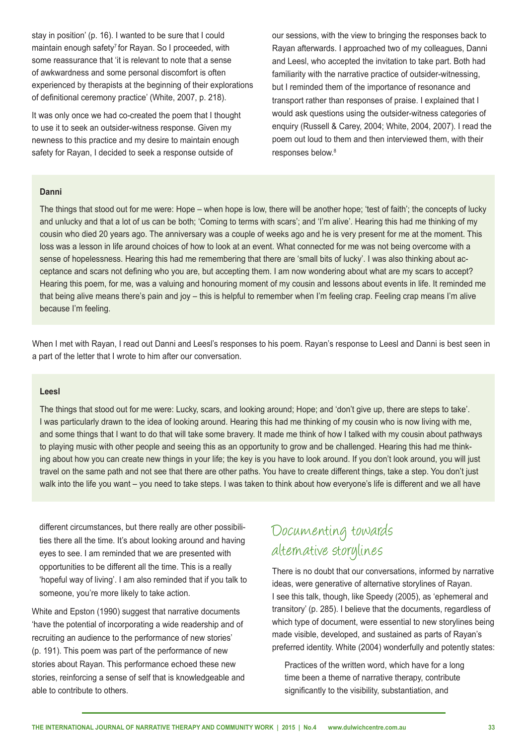stay in position' (p. 16). I wanted to be sure that I could maintain enough safety<sup>7</sup> for Rayan. So I proceeded, with some reassurance that 'it is relevant to note that a sense of awkwardness and some personal discomfort is often experienced by therapists at the beginning of their explorations of definitional ceremony practice' (White, 2007, p. 218).

It was only once we had co-created the poem that I thought to use it to seek an outsider-witness response. Given my newness to this practice and my desire to maintain enough safety for Rayan, I decided to seek a response outside of

our sessions, with the view to bringing the responses back to Rayan afterwards. I approached two of my colleagues, Danni and Leesl, who accepted the invitation to take part. Both had familiarity with the narrative practice of outsider-witnessing, but I reminded them of the importance of resonance and transport rather than responses of praise. I explained that I would ask questions using the outsider-witness categories of enquiry (Russell & Carey, 2004; White, 2004, 2007). I read the poem out loud to them and then interviewed them, with their responses below.<sup>8</sup>

#### **Danni**

The things that stood out for me were: Hope – when hope is low, there will be another hope; 'test of faith'; the concepts of lucky and unlucky and that a lot of us can be both; 'Coming to terms with scars'; and 'I'm alive'. Hearing this had me thinking of my cousin who died 20 years ago. The anniversary was a couple of weeks ago and he is very present for me at the moment. This loss was a lesson in life around choices of how to look at an event. What connected for me was not being overcome with a sense of hopelessness. Hearing this had me remembering that there are 'small bits of lucky'. I was also thinking about acceptance and scars not defining who you are, but accepting them. I am now wondering about what are my scars to accept? Hearing this poem, for me, was a valuing and honouring moment of my cousin and lessons about events in life. It reminded me that being alive means there's pain and joy – this is helpful to remember when I'm feeling crap. Feeling crap means I'm alive because I'm feeling.

When I met with Rayan, I read out Danni and Leesl's responses to his poem. Rayan's response to Leesl and Danni is best seen in a part of the letter that I wrote to him after our conversation.

#### **Leesl**

The things that stood out for me were: Lucky, scars, and looking around; Hope; and 'don't give up, there are steps to take'. I was particularly drawn to the idea of looking around. Hearing this had me thinking of my cousin who is now living with me, and some things that I want to do that will take some bravery. It made me think of how I talked with my cousin about pathways to playing music with other people and seeing this as an opportunity to grow and be challenged. Hearing this had me thinking about how you can create new things in your life; the key is you have to look around. If you don't look around, you will just travel on the same path and not see that there are other paths. You have to create different things, take a step. You don't just walk into the life you want – you need to take steps. I was taken to think about how everyone's life is different and we all have

different circumstances, but there really are other possibilities there all the time. It's about looking around and having eyes to see. I am reminded that we are presented with opportunities to be different all the time. This is a really 'hopeful way of living'. I am also reminded that if you talk to someone, you're more likely to take action.

White and Epston (1990) suggest that narrative documents 'have the potential of incorporating a wide readership and of recruiting an audience to the performance of new stories' (p. 191). This poem was part of the performance of new stories about Rayan. This performance echoed these new stories, reinforcing a sense of self that is knowledgeable and able to contribute to others.

### Documenting towards alternative storylines

There is no doubt that our conversations, informed by narrative ideas, were generative of alternative storylines of Rayan. I see this talk, though, like Speedy (2005), as 'ephemeral and transitory' (p. 285). I believe that the documents, regardless of which type of document, were essential to new storylines being made visible, developed, and sustained as parts of Rayan's preferred identity. White (2004) wonderfully and potently states:

Practices of the written word, which have for a long time been a theme of narrative therapy, contribute significantly to the visibility, substantiation, and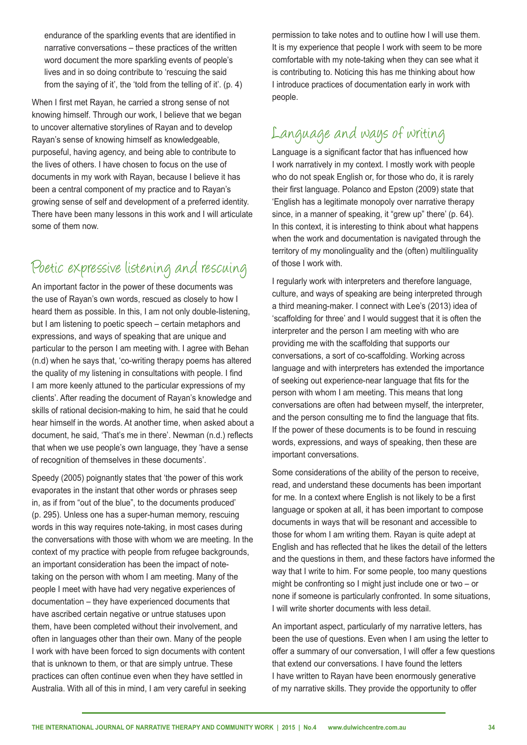endurance of the sparkling events that are identified in narrative conversations – these practices of the written word document the more sparkling events of people's lives and in so doing contribute to 'rescuing the said from the saying of it', the 'told from the telling of it'. (p. 4)

When I first met Rayan, he carried a strong sense of not knowing himself. Through our work, I believe that we began to uncover alternative storylines of Rayan and to develop Rayan's sense of knowing himself as knowledgeable, purposeful, having agency, and being able to contribute to the lives of others. I have chosen to focus on the use of documents in my work with Rayan, because I believe it has been a central component of my practice and to Rayan's growing sense of self and development of a preferred identity. There have been many lessons in this work and I will articulate some of them now.

# Poetic expressive listening and rescuing

An important factor in the power of these documents was the use of Rayan's own words, rescued as closely to how I heard them as possible. In this, I am not only double-listening, but I am listening to poetic speech – certain metaphors and expressions, and ways of speaking that are unique and particular to the person I am meeting with. I agree with Behan (n.d) when he says that, 'co-writing therapy poems has altered the quality of my listening in consultations with people. I find I am more keenly attuned to the particular expressions of my clients'. After reading the document of Rayan's knowledge and skills of rational decision-making to him, he said that he could hear himself in the words. At another time, when asked about a document, he said, 'That's me in there'. Newman (n.d.) reflects that when we use people's own language, they 'have a sense of recognition of themselves in these documents'.

Speedy (2005) poignantly states that 'the power of this work evaporates in the instant that other words or phrases seep in, as if from "out of the blue", to the documents produced' (p. 295). Unless one has a super-human memory, rescuing words in this way requires note-taking, in most cases during the conversations with those with whom we are meeting. In the context of my practice with people from refugee backgrounds, an important consideration has been the impact of notetaking on the person with whom I am meeting. Many of the people I meet with have had very negative experiences of documentation – they have experienced documents that have ascribed certain negative or untrue statuses upon them, have been completed without their involvement, and often in languages other than their own. Many of the people I work with have been forced to sign documents with content that is unknown to them, or that are simply untrue. These practices can often continue even when they have settled in Australia. With all of this in mind, I am very careful in seeking

permission to take notes and to outline how I will use them. It is my experience that people I work with seem to be more comfortable with my note-taking when they can see what it is contributing to. Noticing this has me thinking about how I introduce practices of documentation early in work with people.

# Language and ways of writing

Language is a significant factor that has influenced how I work narratively in my context. I mostly work with people who do not speak English or, for those who do, it is rarely their first language. Polanco and Epston (2009) state that 'English has a legitimate monopoly over narrative therapy since, in a manner of speaking, it "grew up" there' (p. 64). In this context, it is interesting to think about what happens when the work and documentation is navigated through the territory of my monolinguality and the (often) multilinguality of those I work with.

I regularly work with interpreters and therefore language, culture, and ways of speaking are being interpreted through a third meaning-maker. I connect with Lee's (2013) idea of 'scaffolding for three' and I would suggest that it is often the interpreter and the person I am meeting with who are providing me with the scaffolding that supports our conversations, a sort of co-scaffolding. Working across language and with interpreters has extended the importance of seeking out experience-near language that fits for the person with whom I am meeting. This means that long conversations are often had between myself, the interpreter, and the person consulting me to find the language that fits. If the power of these documents is to be found in rescuing words, expressions, and ways of speaking, then these are important conversations.

Some considerations of the ability of the person to receive, read, and understand these documents has been important for me. In a context where English is not likely to be a first language or spoken at all, it has been important to compose documents in ways that will be resonant and accessible to those for whom I am writing them. Rayan is quite adept at English and has reflected that he likes the detail of the letters and the questions in them, and these factors have informed the way that I write to him. For some people, too many questions might be confronting so I might just include one or two – or none if someone is particularly confronted. In some situations, I will write shorter documents with less detail.

An important aspect, particularly of my narrative letters, has been the use of questions. Even when I am using the letter to offer a summary of our conversation, I will offer a few questions that extend our conversations. I have found the letters I have written to Rayan have been enormously generative of my narrative skills. They provide the opportunity to offer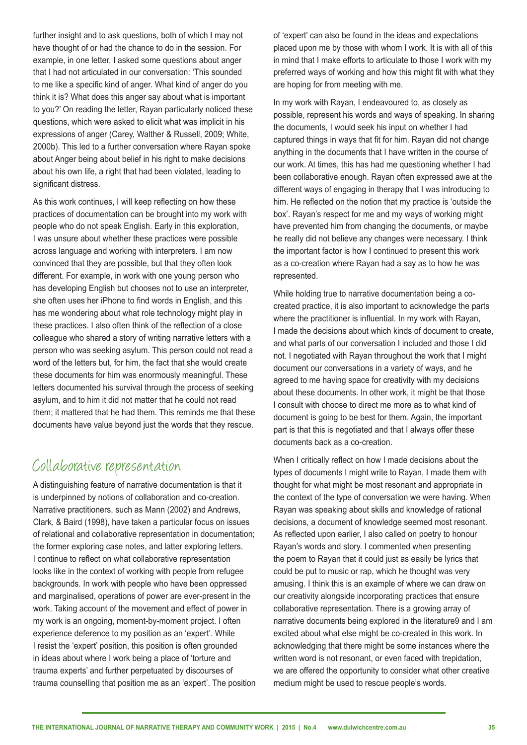further insight and to ask questions, both of which I may not have thought of or had the chance to do in the session. For example, in one letter, I asked some questions about anger that I had not articulated in our conversation: 'This sounded to me like a specific kind of anger. What kind of anger do you think it is? What does this anger say about what is important to you?' On reading the letter, Rayan particularly noticed these questions, which were asked to elicit what was implicit in his expressions of anger (Carey, Walther & Russell, 2009; White, 2000b). This led to a further conversation where Rayan spoke about Anger being about belief in his right to make decisions about his own life, a right that had been violated, leading to significant distress.

As this work continues, I will keep reflecting on how these practices of documentation can be brought into my work with people who do not speak English. Early in this exploration, I was unsure about whether these practices were possible across language and working with interpreters. I am now convinced that they are possible, but that they often look different. For example, in work with one young person who has developing English but chooses not to use an interpreter, she often uses her iPhone to find words in English, and this has me wondering about what role technology might play in these practices. I also often think of the reflection of a close colleague who shared a story of writing narrative letters with a person who was seeking asylum. This person could not read a word of the letters but, for him, the fact that she would create these documents for him was enormously meaningful. These letters documented his survival through the process of seeking asylum, and to him it did not matter that he could not read them; it mattered that he had them. This reminds me that these documents have value beyond just the words that they rescue.

#### Collaborative representation

A distinguishing feature of narrative documentation is that it is underpinned by notions of collaboration and co-creation. Narrative practitioners, such as Mann (2002) and Andrews, Clark, & Baird (1998), have taken a particular focus on issues of relational and collaborative representation in documentation; the former exploring case notes, and latter exploring letters. I continue to reflect on what collaborative representation looks like in the context of working with people from refugee backgrounds. In work with people who have been oppressed and marginalised, operations of power are ever-present in the work. Taking account of the movement and effect of power in my work is an ongoing, moment-by-moment project. I often experience deference to my position as an 'expert'. While I resist the 'expert' position, this position is often grounded in ideas about where I work being a place of 'torture and trauma experts' and further perpetuated by discourses of trauma counselling that position me as an 'expert'. The position of 'expert' can also be found in the ideas and expectations placed upon me by those with whom I work. It is with all of this in mind that I make efforts to articulate to those I work with my preferred ways of working and how this might fit with what they are hoping for from meeting with me.

In my work with Rayan, I endeavoured to, as closely as possible, represent his words and ways of speaking. In sharing the documents, I would seek his input on whether I had captured things in ways that fit for him. Rayan did not change anything in the documents that I have written in the course of our work. At times, this has had me questioning whether I had been collaborative enough. Rayan often expressed awe at the different ways of engaging in therapy that I was introducing to him. He reflected on the notion that my practice is 'outside the box'. Rayan's respect for me and my ways of working might have prevented him from changing the documents, or maybe he really did not believe any changes were necessary. I think the important factor is how I continued to present this work as a co-creation where Rayan had a say as to how he was represented.

While holding true to narrative documentation being a cocreated practice, it is also important to acknowledge the parts where the practitioner is influential. In my work with Rayan, I made the decisions about which kinds of document to create, and what parts of our conversation I included and those I did not. I negotiated with Rayan throughout the work that I might document our conversations in a variety of ways, and he agreed to me having space for creativity with my decisions about these documents. In other work, it might be that those I consult with choose to direct me more as to what kind of document is going to be best for them. Again, the important part is that this is negotiated and that I always offer these documents back as a co-creation.

When I critically reflect on how I made decisions about the types of documents I might write to Rayan, I made them with thought for what might be most resonant and appropriate in the context of the type of conversation we were having. When Rayan was speaking about skills and knowledge of rational decisions, a document of knowledge seemed most resonant. As reflected upon earlier, I also called on poetry to honour Rayan's words and story. I commented when presenting the poem to Rayan that it could just as easily be lyrics that could be put to music or rap, which he thought was very amusing. I think this is an example of where we can draw on our creativity alongside incorporating practices that ensure collaborative representation. There is a growing array of narrative documents being explored in the literature9 and I am excited about what else might be co-created in this work. In acknowledging that there might be some instances where the written word is not resonant, or even faced with trepidation, we are offered the opportunity to consider what other creative medium might be used to rescue people's words.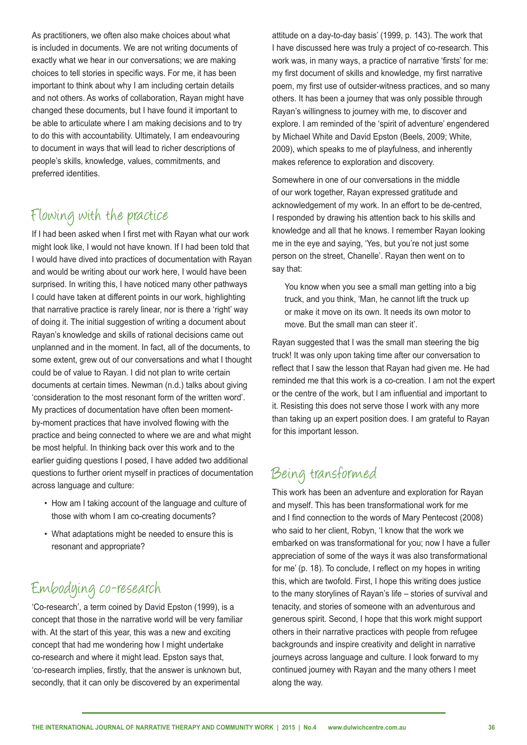As practitioners, we often also make choices about what is included in documents. We are not writing documents of exactly what we hear in our conversations; we are making choices to tell stories in specific ways. For me, it has been important to think about why I am including certain details and not others. As works of collaboration, Rayan might have changed these documents, but I have found it important to be able to articulate where I am making decisions and to try to do this with accountability. Ultimately, I am endeavouring to document in ways that will lead to richer descriptions of people's skills, knowledge, values, commitments, and preferred identities.

# Flowing with the practice

If I had been asked when I first met with Rayan what our work might look like, I would not have known. If I had been told that I would have dived into practices of documentation with Rayan and would be writing about our work here, I would have been surprised. In writing this, I have noticed many other pathways I could have taken at different points in our work, highlighting that narrative practice is rarely linear, nor is there a 'right' way of doing it. The initial suggestion of writing a document about Rayan's knowledge and skills of rational decisions came out unplanned and in the moment. In fact, all of the documents, to some extent, grew out of our conversations and what I thought could be of value to Rayan. I did not plan to write certain documents at certain times. Newman (n.d.) talks about giving 'consideration to the most resonant form of the written word'. My practices of documentation have often been momentby-moment practices that have involved flowing with the practice and being connected to where we are and what might be most helpful. In thinking back over this work and to the earlier guiding questions I posed, I have added two additional questions to further orient myself in practices of documentation across language and culture:

- How am I taking account of the language and culture of those with whom I am co-creating documents?
- What adaptations might be needed to ensure this is resonant and appropriate?

# Embodying co-research

'Co-research', a term coined by David Epston (1999), is a concept that those in the narrative world will be very familiar with. At the start of this year, this was a new and exciting concept that had me wondering how I might undertake co-research and where it might lead. Epston says that, 'co-research implies, firstly, that the answer is unknown but, secondly, that it can only be discovered by an experimental

attitude on a day-to-day basis' (1999, p. 143). The work that I have discussed here was truly a project of co-research. This work was, in many ways, a practice of narrative 'firsts' for me: my first document of skills and knowledge, my first narrative poem, my first use of outsider-witness practices, and so many others. It has been a journey that was only possible through Rayan's willingness to journey with me, to discover and explore. I am reminded of the 'spirit of adventure' engendered by Michael White and David Epston (Beels, 2009; White, 2009), which speaks to me of playfulness, and inherently makes reference to exploration and discovery.

Somewhere in one of our conversations in the middle of our work together, Rayan expressed gratitude and acknowledgement of my work. In an effort to be de-centred, I responded by drawing his attention back to his skills and knowledge and all that he knows. I remember Rayan looking me in the eye and saying, 'Yes, but you're not just some person on the street, Chanelle'. Rayan then went on to say that:

You know when you see a small man getting into a big truck, and you think, 'Man, he cannot lift the truck up or make it move on its own. It needs its own motor to move. But the small man can steer it'.

Rayan suggested that I was the small man steering the big truck! It was only upon taking time after our conversation to reflect that I saw the lesson that Rayan had given me. He had reminded me that this work is a co-creation. I am not the expert or the centre of the work, but I am influential and important to it. Resisting this does not serve those I work with any more than taking up an expert position does. I am grateful to Rayan for this important lesson.

#### Being transformed

This work has been an adventure and exploration for Rayan and myself. This has been transformational work for me and I find connection to the words of Mary Pentecost (2008) who said to her client, Robyn, 'I know that the work we embarked on was transformational for you; now I have a fuller appreciation of some of the ways it was also transformational for me' (p. 18). To conclude, I reflect on my hopes in writing this, which are twofold. First, I hope this writing does justice to the many storylines of Rayan's life – stories of survival and tenacity, and stories of someone with an adventurous and generous spirit. Second, I hope that this work might support others in their narrative practices with people from refugee backgrounds and inspire creativity and delight in narrative journeys across language and culture. I look forward to my continued journey with Rayan and the many others I meet along the way.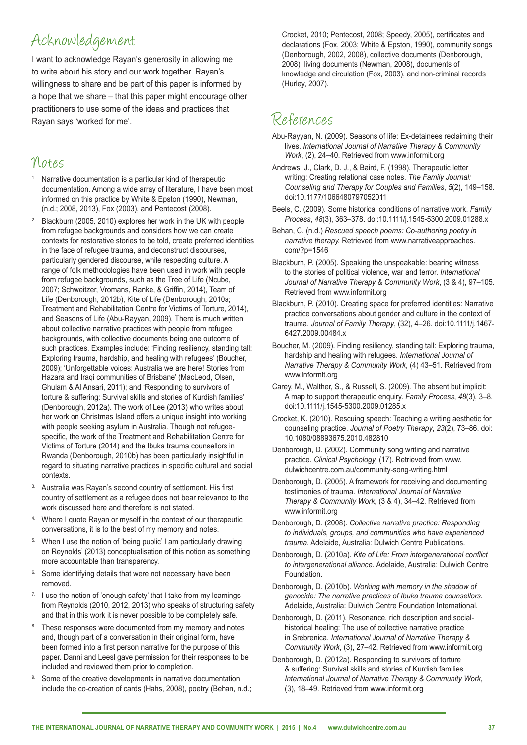#### Acknowledgement

I want to acknowledge Rayan's generosity in allowing me to write about his story and our work together. Rayan's willingness to share and be part of this paper is informed by a hope that we share – that this paper might encourage other practitioners to use some of the ideas and practices that Rayan says 'worked for me'.

#### Notes

- Narrative documentation is a particular kind of therapeutic documentation. Among a wide array of literature, I have been most informed on this practice by White & Epston (1990), Newman, (n.d.; 2008, 2013), Fox (2003), and Pentecost (2008).
- <sup>2</sup> Blackburn (2005, 2010) explores her work in the UK with people from refugee backgrounds and considers how we can create contexts for restorative stories to be told, create preferred identities in the face of refugee trauma, and deconstruct discourses, particularly gendered discourse, while respecting culture. A range of folk methodologies have been used in work with people from refugee backgrounds, such as the Tree of Life (Ncube, 2007; Schweitzer, Vromans, Ranke, & Griffin, 2014), Team of Life (Denborough, 2012b), Kite of Life (Denborough, 2010a; Treatment and Rehabilitation Centre for Victims of Torture*,* 2014), and Seasons of Life (Abu-Rayyan, 2009). There is much written about collective narrative practices with people from refugee backgrounds, with collective documents being one outcome of such practices. Examples include: 'Finding resiliency, standing tall: Exploring trauma, hardship, and healing with refugees' (Boucher, 2009); 'Unforgettable voices: Australia we are here! Stories from Hazara and Iraqi communities of Brisbane' (MacLeod, Olsen, Ghulam & Al Ansari, 2011); and 'Responding to survivors of torture & suffering: Survival skills and stories of Kurdish families' (Denborough, 2012a). The work of Lee (2013) who writes about her work on Christmas Island offers a unique insight into working with people seeking asylum in Australia. Though not refugeespecific, the work of the Treatment and Rehabilitation Centre for Victims of Torture (2014) and the Ibuka trauma counsellors in Rwanda (Denborough, 2010b) has been particularly insightful in regard to situating narrative practices in specific cultural and social contexts.
- <sup>3.</sup> Australia was Rayan's second country of settlement. His first country of settlement as a refugee does not bear relevance to the work discussed here and therefore is not stated.
- 4. Where I quote Rayan or myself in the context of our therapeutic conversations, it is to the best of my memory and notes.
- 5. When I use the notion of 'being public' I am particularly drawing on Reynolds' (2013) conceptualisation of this notion as something more accountable than transparency.
- <sup>6.</sup> Some identifying details that were not necessary have been removed.
- I use the notion of 'enough safety' that I take from my learnings from Reynolds (2010, 2012, 2013) who speaks of structuring safety and that in this work it is never possible to be completely safe.
- 8. These responses were documented from my memory and notes and, though part of a conversation in their original form, have been formed into a first person narrative for the purpose of this paper. Danni and Leesl gave permission for their responses to be included and reviewed them prior to completion.
- 9. Some of the creative developments in narrative documentation include the co-creation of cards (Hahs, 2008), poetry (Behan, n.d.;

Crocket, 2010; Pentecost, 2008; Speedy, 2005), certificates and declarations (Fox, 2003; White & Epston, 1990), community songs (Denborough, 2002, 2008), collective documents (Denborough, 2008), living documents (Newman, 2008), documents of knowledge and circulation (Fox, 2003), and non-criminal records (Hurley, 2007).

# References

- Abu-Rayyan, N. (2009). Seasons of life: Ex-detainees reclaiming their lives. *International Journal of Narrative Therapy & Community Work*, (2), 24–40. Retrieved from www.informit.org
- Andrews, J., Clark, D. J., & Baird, F. (1998). Therapeutic letter writing: Creating relational case notes. *The Family Journal: Counseling and Therapy for Couples and Families*, *5*(2), 149–158. doi:10.1177/1066480797052011
- Beels, C. (2009). Some historical conditions of narrative work. *Family Process*, *48*(3), 363–378. doi:10.1111/j.1545-5300.2009.01288.x
- Behan, C. (n.d.) *Rescued speech poems: Co-authoring poetry in narrative therapy.* Retrieved from www.narrativeapproaches. com/?p=1546
- Blackburn, P. (2005). Speaking the unspeakable: bearing witness to the stories of political violence, war and terror. *International Journal of Narrative Therapy & Community Work*, (3 & 4), 97–105. Retrieved from www.informit.org
- Blackburn, P. (2010). Creating space for preferred identities: Narrative practice conversations about gender and culture in the context of trauma. *Journal of Family Therapy*, (32), 4–26. doi:10.1111/j.1467- 6427.2009.00484.x
- Boucher, M. (2009). Finding resiliency, standing tall: Exploring trauma, hardship and healing with refugees. *International Journal of Narrative Therapy & Community Work*, (4) 43–51. Retrieved from www.informit.org
- Carey, M., Walther, S., & Russell, S. (2009). The absent but implicit: A map to support therapeutic enquiry. *Family Process*, *48*(3), 3–8. doi:10.1111/j.1545-5300.2009.01285.x
- Crocket, K. (2010). Rescuing speech: Teaching a writing aesthetic for counseling practice. *Journal of Poetry Therapy*, *23*(2), 73–86. doi: 10.1080/08893675.2010.482810
- Denborough, D. (2002). Community song writing and narrative practice. *Clinical Psychology,* (17). Retrieved from www. dulwichcentre.com.au/community-song-writing.html
- Denborough, D. (2005). A framework for receiving and documenting testimonies of trauma. *International Journal of Narrative Therapy & Community Work*, (3 & 4), 34–42. Retrieved from www.informit.org
- Denborough, D. (2008). *Collective narrative practice: Responding to individuals, groups, and communities who have experienced trauma*. Adelaide, Australia: Dulwich Centre Publications.
- Denborough, D. (2010a). *Kite of Life: From intergenerational conflict to intergenerational alliance.* Adelaide, Australia: Dulwich Centre **Foundation**
- Denborough, D. (2010b). *Working with memory in the shadow of genocide: The narrative practices of Ibuka trauma counsellors.* Adelaide, Australia: Dulwich Centre Foundation International.
- Denborough, D. (2011). Resonance, rich description and socialhistorical healing: The use of collective narrative practice in Srebrenica. *International Journal of Narrative Therapy & Community Work*, (3), 27–42. Retrieved from www.informit.org
- Denborough, D. (2012a). Responding to survivors of torture & suffering: Survival skills and stories of Kurdish families. *International Journal of Narrative Therapy & Community Work*, (3), 18–49. Retrieved from www.informit.org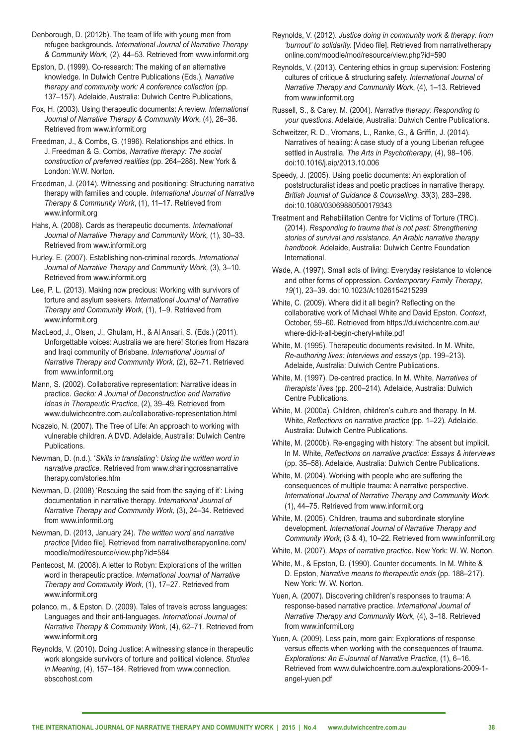Denborough, D. (2012b). The team of life with young men from refugee backgrounds. *International Journal of Narrative Therapy & Community Work,* (2), 44–53. Retrieved from www.informit.org

Epston, D. (1999). Co-research: The making of an alternative knowledge. In Dulwich Centre Publications (Eds.), *Narrative therapy and community work: A conference collection* (pp. 137–157). Adelaide, Australia: Dulwich Centre Publications,

Fox, H. (2003). Using therapeutic documents: A review. *International Journal of Narrative Therapy & Community Work*, (4), 26–36. Retrieved from www.informit.org

Freedman, J., & Combs, G. (1996). Relationships and ethics. In J. Freedman & G. Combs, *Narrative therapy: The social construction of preferred realities* (pp. 264–288). New York & London: W.W. Norton.

Freedman, J. (2014). Witnessing and positioning: Structuring narrative therapy with families and couple. *International Journal of Narrative Therapy & Community Work*, (1), 11–17. Retrieved from www.informit.org

Hahs, A. (2008). Cards as therapeutic documents. *International Journal of Narrative Therapy and Community Work,* (1), 30–33. Retrieved from www.informit.org

Hurley. E. (2007). Establishing non-criminal records. *International Journal of Narrative Therapy and Community Work,* (3), 3–10. Retrieved from www.informit.org

Lee, P. L. (2013). Making now precious: Working with survivors of torture and asylum seekers. *International Journal of Narrative Therapy and Community Work*, (1), 1–9. Retrieved from www.informit.org

MacLeod, J., Olsen, J., Ghulam, H., & Al Ansari, S. (Eds.) (2011). Unforgettable voices: Australia we are here! Stories from Hazara and Iraqi community of Brisbane. *International Journal of Narrative Therapy and Community Work,* (2), 62–71. Retrieved from www.informit.org

Mann, S. (2002). Collaborative representation: Narrative ideas in practice. *Gecko: A Journal of Deconstruction and Narrative Ideas in Therapeutic Practice,* (2), 39–49. Retrieved from www.dulwichcentre.com.au/collaborative-representation.html

Ncazelo, N. (2007). The Tree of Life: An approach to working with vulnerable children. A DVD. Adelaide, Australia: Dulwich Centre Publications.

Newman, D. (n.d.). '*Skills in translating': Using the written word in narrative practice.* Retrieved from www.charingcrossnarrative therapy.com/stories.htm

Newman, D. (2008) 'Rescuing the said from the saying of it': Living documentation in narrative therapy. *International Journal of Narrative Therapy and Community Work,* (3), 24–34. Retrieved from www.informit.org

Newman, D. (2013, January 24). *The written word and narrative practice* [Video file]. Retrieved from narrativetherapyonline.com/ moodle/mod/resource/view.php?id=584

Pentecost, M. (2008). A letter to Robyn: Explorations of the written word in therapeutic practice. *International Journal of Narrative Therapy and Community Work,* (1), 17–27. Retrieved from www.informit.org

polanco, m., & Epston, D. (2009). Tales of travels across languages: Languages and their anti-languages. *International Journal of Narrative Therapy & Community Work*, (4), 62–71. Retrieved from www.informit.org

Reynolds, V. (2010). Doing Justice: A witnessing stance in therapeutic work alongside survivors of torture and political violence. *Studies in Meaning*, (4), 157–184. Retrieved from www.connection. ebscohost.com

Reynolds, V. (2012). *Justice doing in community work & therapy: from 'burnout' to solidarity.* [Video file]. Retrieved from narrativetherapy online.com/moodle/mod/resource/view.php?id=590

Reynolds, V. (2013). Centering ethics in group supervision: Fostering cultures of critique & structuring safety. *International Journal of Narrative Therapy and Community Work*, (4), 1‒13. Retrieved from www.informit.org

Russell, S., & Carey. M. (2004). *Narrative therapy: Responding to your questions*. Adelaide, Australia: Dulwich Centre Publications.

Schweitzer, R. D., Vromans, L., Ranke, G., & Griffin, J. (2014). Narratives of healing: A case study of a young Liberian refugee settled in Australia. *The Arts in Psychotherapy*, (4), 98–106. doi:10.1016/j.aip/2013.10.006

Speedy, J. (2005). Using poetic documents: An exploration of poststructuralist ideas and poetic practices in narrative therapy. *British Journal of Guidance & Counselling*. *33*(3), 283–298. doi:10.1080/03069880500179343

Treatment and Rehabilitation Centre for Victims of Torture (TRC). (2014). *Responding to trauma that is not past: Strengthening stories of survival and resistance. An Arabic narrative therapy handbook.* Adelaide, Australia: Dulwich Centre Foundation International.

Wade, A. (1997). Small acts of living: Everyday resistance to violence and other forms of oppression. *Contemporary Family Therapy*, *19*(1), 23–39. doi:10.1023/A:1026154215299

White, C. (2009). Where did it all begin? Reflecting on the collaborative work of Michael White and David Epston. *Context*, October, 59–60. Retrieved from https://dulwichcentre.com.au/ where-did-it-all-begin-cheryl-white.pdf

White, M. (1995). Therapeutic documents revisited. In M. White, *Re-authoring lives: Interviews and essays* (pp. 199–213). Adelaide, Australia: Dulwich Centre Publications.

White, M. (1997). De-centred practice. In M. White, *Narratives of therapists' lives* (pp. 200–214)*.* Adelaide, Australia: Dulwich Centre Publications.

White, M. (2000a). Children, children's culture and therapy. In M. White, *Reflections on narrative practice* (pp. 1–22)*.* Adelaide, Australia: Dulwich Centre Publications.

White, M. (2000b). Re-engaging with history: The absent but implicit. In M. White, *Reflections on narrative practice: Essays & interviews*  (pp. 35–58). Adelaide, Australia: Dulwich Centre Publications.

White, M. (2004). Working with people who are suffering the consequences of multiple trauma: A narrative perspective. *International Journal of Narrative Therapy and Community Work*, (1), 44–75. Retrieved from www.informit.org

White, M. (2005). Children, trauma and subordinate storyline development. *International Journal of Narrative Therapy and Community Work*, (3 & 4), 10–22. Retrieved from www.informit.org

White, M. (2007). *Maps of narrative practice.* New York: W. W. Norton.

White, M., & Epston, D. (1990). Counter documents. In M. White & D. Epston, *Narrative means to therapeutic ends* (pp. 188–217). New York: W. W. Norton.

Yuen, A. (2007). Discovering children's responses to trauma: A response-based narrative practice. *International Journal of Narrative Therapy and Community Work*, (4), 3–18. Retrieved from www.informit.org

Yuen, A. (2009). Less pain, more gain: Explorations of response versus effects when working with the consequences of trauma. *Explorations: An E-Journal of Narrative Practice,* (1), 6–16. Retrieved from www.dulwichcentre.com.au/explorations-2009-1 angel-yuen.pdf